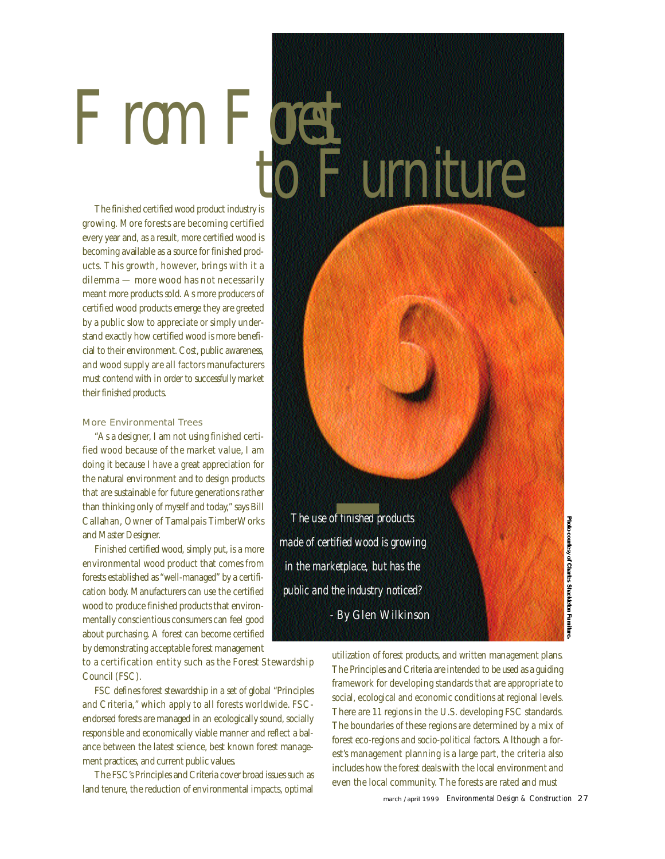The finished certified wood product industry is growing. More forests are becoming certified every year and, as a result, more certified wood is becoming available as a source for finished products. This growth, however, brings with it a dilemma — more wood has not necessarily meant more products sold. As more producers of certified wood products emerge they are greeted by a public slow to appreciate or simply understand exactly how certified wood is more beneficial to their environment. Cost, public awareness, and wood supply are all factors manufacturers must contend with in order to successfully market their finished products.

 $F$  rom  $F$  or

## More Environmental Trees

"As a designer, I am not using finished certified wood because of the market value, I am doing it because I have a great appreciation for the natural environment and to design products that are sustainable for future generations rather than thinking only of myself and today," says Bill Callahan, Owner of Tamalpais Timber Works and Master Designer.

Finished certified wood, simply put, is a more environmental wood product that comes from forests established as "well-managed" by a certification body. Manufacturers can use the certified wood to produce finished products that environmentally conscientious consumers can feel good about purchasing. A forest can become certified by demonstrating acceptable forest management

to a certification entity such as the Forest Stewardship Council (FSC).

FSC defines forest stewardship in a set of global "Principles and Criteria," which apply to all forests worldwide. FSCendorsed forests are managed in an ecologically sound, socially responsible and economically viable manner and reflect a balance between the latest science, best known forest management practices, and current public values.

The FSC's Principles and Criteria cover broad issues such as land tenure, the reduction of environmental impacts, optimal



utilization of forest products, and written management plans. The Principles and Criteria are intended to be used as a guiding framework for developing standards that are appropriate to social, ecological and economic conditions at regional levels. There are 11 regions in the U.S. developing FSC standards. The boundaries of these regions are determined by a mix of forest eco-regions and socio-political factors. Although a forest's management planning is a large part, the criteria also includes how the forest deals with the local environment and even the local community. The forests are rated and must

march / april 1999 Environmental Design & Construction 27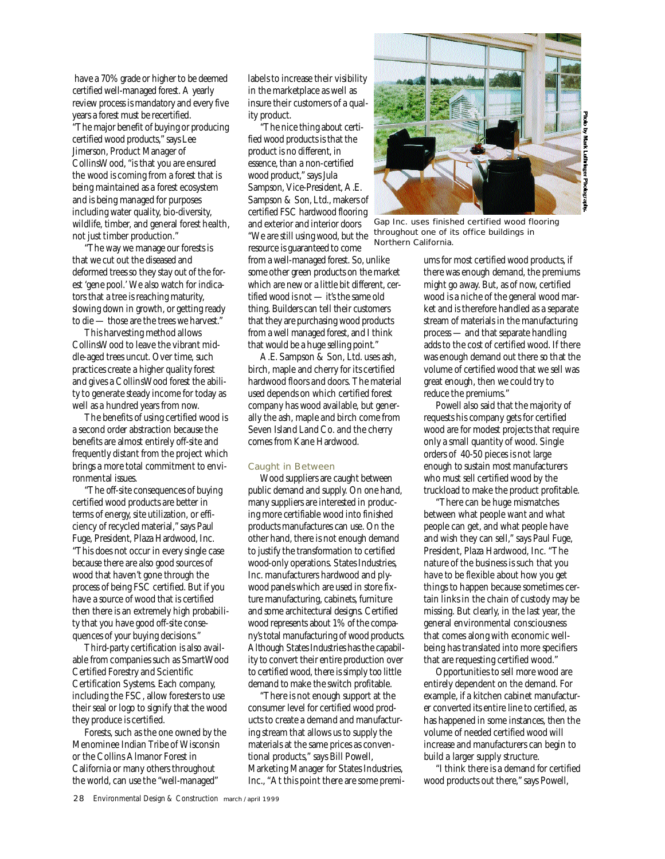have a 70% grade or higher to be deemed certified well-managed forest. A yearly review process is mandatory and every five years a forest must be recertified. "The major benefit of buying or producing certified wood products," says Lee Jimerson, Product Manager of Collins Wood, "is that you are ensured the wood is coming from a forest that is being maintained as a forest ecosystem and is being managed for purposes including water quality, bio-diversity, wildlife, timber, and general forest health, not just timber production."

"The way we manage our forests is that we cut out the diseased and deformed trees so they stay out of the forest 'gene pool.' We also watch for indicators that a tree is reaching maturity, slowing down in growth, or getting ready to die — those are the trees we harvest."

This harvesting method allows Collins Wood to leave the vibrant middle-aged trees uncut. Over time, such practices create a higher quality forest and gives a CollinsWood forest the ability to generate steady income for today as well as a hundred years from now.

The benefits of using certified wood is a second order abstraction because the benefits are almost entirely off-site and frequently distant from the project which brings a more total commitment to environmental issues.

"The off-site consequences of buying certified wood products are better in terms of energy, site utilization, or efficiency of recycled material," says Paul Fuge, President, Plaza Hardwood, Inc. "This does not occur in every single case because there are also good sources of wood that haven't gone through the process of being FSC certified. But if you have a source of wood that is certified then there is an extremely high probability that you have good off-site consequences of your buying decisions."

Third-party certification is also available from companies such as SmartWood Certified Forestry and Scientific Certification Systems. Each company, including the FSC, allow foresters to use their seal or logo to signify that the wood they produce is certified.

Forests, such as the one owned by the Menominee Indian Tribe of Wisconsin or the Collins Almanor Forest in California or many others throughout the world, can use the "well-managed"

labels to increase their visibility in the marketplace as well as insure their customers of a quality product.

"The nice thing about certified wood products is that the product is no different, in essence, than a non-certified wood product," says Jula Sampson, Vice-President, A.E. Sampson & Son, Ltd., makers of certified FSC hardwood flooring and exterior and interior doors " We are still using wood, but the resource is guaranteed to come from a well-managed forest. So, unlike some other green products on the market which are new or a little bit different, certified wood is not — it's the same old thing. Builders can tell their customers that they are purchasing wood products from a well managed forest, and I think that would be a huge selling point."

A.E. Sampson & Son, Ltd. uses ash, birch, maple and cherry for its certified hardwood floors and doors. The material used depends on which certified forest company has wood available, but generally the ash, maple and birch come from Seven Island Land Co. and the cherry comes from Kane Hardwood.

### Caught in Between

Wood suppliers are caught between public demand and supply. On one hand, many suppliers are interested in producing more certifiable wood into finished products manufactures can use. On the other hand, there is not enough demand to justify the transformation to certified wood-only operations. States Industries, Inc. manufacturers hardwood and plywood panels which are used in store fixture manufacturing, cabinets, furniture and some architectural designs. Certified wood represents about 1% of the company's total manufacturing of wood products. Although States Industries has the capability to convert their entire production over to certified wood, there is simply too little demand to make the switch profitable.

"There is not enough support at the consumer level for certified wood products to create a demand and manufacturing stream that allows us to supply the materials at the same prices as conventional products," says Bill Powell, Marketing Manager for States Industries, Inc., "At this point there are some premi-



Gap Inc. uses finished certified wood flooring throughout one of its office buildings in Northern California.

ums for most certified wood products, if there was enough demand, the premiums might go away. But, as of now, certified wood is a niche of the general wood market and is therefore handled as a separate stream of materials in the manufacturing process — and that separate handling adds to the cost of certified wood. If there was enough demand out there so that the volume of certified wood that we sell was great enough, then we could try to reduce the premiums."

Powell also said that the majority of requests his company gets for certified wood are for modest projects that require only a small quantity of wood. Single orders of 40-50 pieces is not large enough to sustain most manufacturers who must sell certified wood by the truckload to make the product profitable.

"There can be huge mismatches between what people want and what people can get, and what people have and wish they can sell," says Paul Fuge, President, Plaza Hardwood, Inc. "The nature of the business is such that you have to be flexible about how you get things to happen because sometimes certain links in the chain of custody may be missing. But clearly, in the last year, the general environmental consciousness that comes along with economic wellbeing has translated into more specifiers that are requesting certified wood."

Opportunities to sell more wood are entirely dependent on the demand. For example, if a kitchen cabinet manufacturer converted its entire line to certified, as has happened in some instances, then the volume of needed certified wood will increase and manufacturers can begin to build a larger supply structure.

"I think there is a demand for certified wood products out there," says Powell,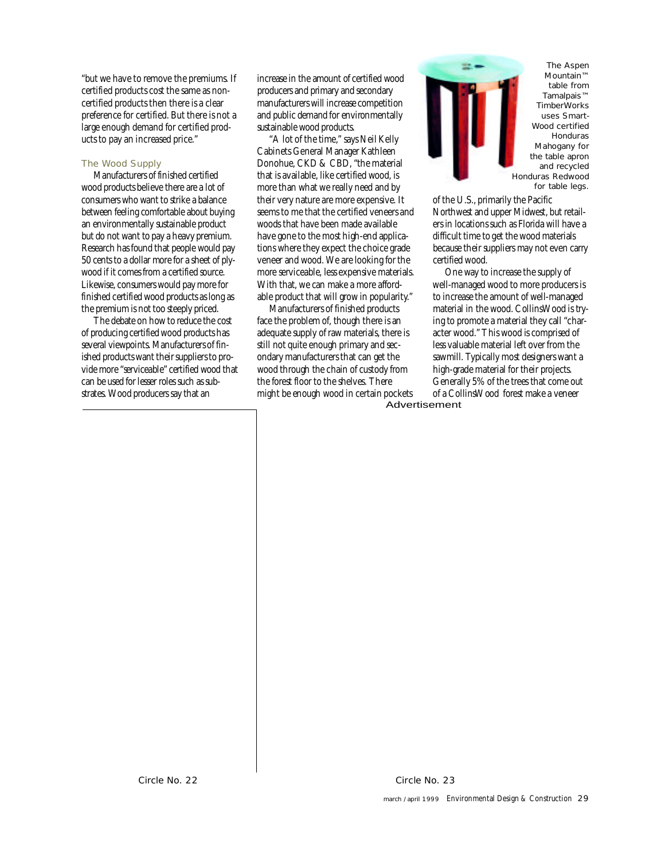"but we have to remove the premiums. If certified products cost the same as noncertified products then there is a clear preference for certified. But there is not a large enough demand for certified products to pay an increased price."

### The Wood Supply

Manufacturers of finished certified wood products believe there are a lot of consumers who want to strike a balance between feeling comfortable about buying an environmentally sustainable product but do not want to pay a heavy premium. Research has found that people would pay 50 cents to a dollar more for a sheet of plywood if it comes from a certified source. Likewise, consumers would pay more for finished certified wood products as long as the premium is not too steeply priced.

The debate on how to reduce the cost of producing certified wood products has several viewpoints. Manufacturers of finished products want their suppliers to provide more "serviceable" certified wood that can be used for lesser roles such as substrates. Wood producers say that an

increase in the amount of certified wood producers and primary and secondary manufacturers will increase competition and public demand for environmentally sustainable wood products.

"A lot of the time," says Neil Kelly Cabinets General Manager Kathleen Donohue, CKD & CBD, "the material that is available, like certified wood, is more than what we really need and by their very nature are more expensive. It seems to me that the certified veneers and woods that have been made available have gone to the most high-end applications where they expect the choice grade veneer and wood. We are looking for the more serviceable, less expensive materials. With that, we can make a more affordable product that will grow in popularity. "

Manufacturers of finished products face the problem of, though there is an adequate supply of raw materials, there is still not quite enough primary and secondary manufacturers that can get the wood through the chain of custody from the forest floor to the shelves. There might be enough wood in certain pockets



The Aspen Mountain™ table from Tamalpais<sup>™</sup> TimberWorks uses Smart-Wood certified **Honduras** Mahogany for the table apron and recycled Honduras Redwood for table legs.

of the U.S., primarily the Pacific Northwest and upper Midwest, but retailers in locations such as Florida will have a difficult time to get the wood materials because their suppliers may not even carry certified wood.

One way to increase the supply of well-managed wood to more producers is to increase the amount of well-managed material in the wood. CollinsWood is trying to promote a material they call "character wood." This wood is comprised of less valuable material left over from the sawmill. Typically most designers want a high-grade material for their projects. Generally 5% of the trees that come out of a Collins Wood forest make a veneer Advertisement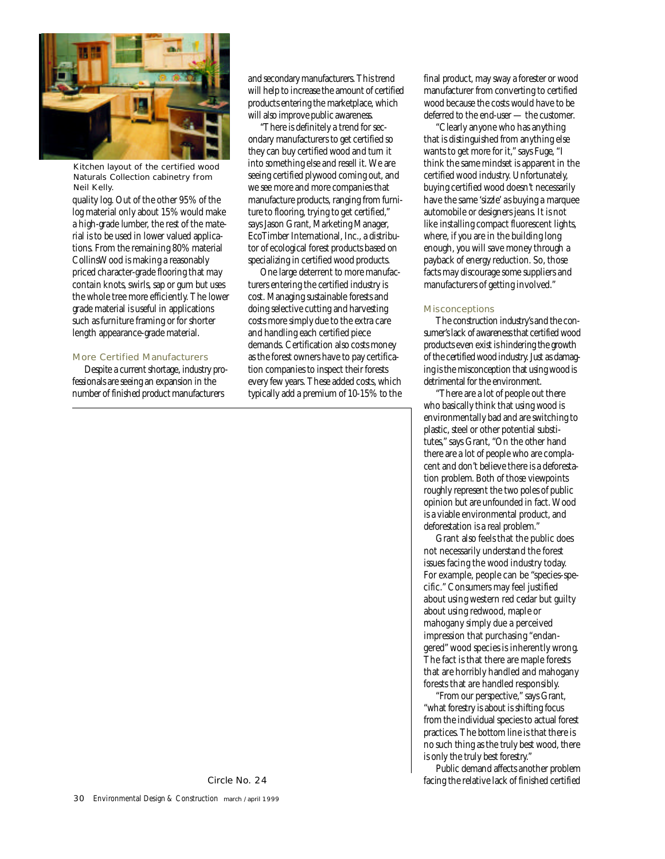

Kitchen layout of the certified wood Naturals Collection cabinetry from Neil Kelly.

quality log. Out of the other 95% of the log material only about 15% would make a high-grade lumber, the rest of the material is to be used in lower valued applications. From the remaining 80% material Collins Wood is making a reasonably priced character-grade flooring that may contain knots, swirls, sap or gum but uses the whole tree more efficiently. The lower grade material is useful in applications such as furniture framing or for shorter length appearance-grade material.

### More Certified Manufacturers

Despite a current shortage, industry professionals are seeing an expansion in the number of finished product manufacturers

and secondary manufacturers. This trend will help to increase the amount of certified products entering the marketplace, which will also improve public awareness.

"There is definitely a trend for secondary manufacturers to get certified so they can buy certified wood and turn it into something else and resell it. We are seeing certified plywood coming out, and we see more and more companies that manufacture products, ranging from furniture to flooring, trying to get certified," says Jason Grant, Marketing Manager, EcoTimber International, Inc., a distributor of ecological forest products based on specializing in certified wood products.

One large deterrent to more manufacturers entering the certified industry is cost. Managing sustainable forests and doing selective cutting and harvesting costs more simply due to the extra care and handling each certified piece demands. Certification also costs money as the forest owners have to pay certification companies to inspect their forests every few years. These added costs, which typically add a premium of 10-15% to the final product, may sway a forester or wood manufacturer from converting to certified wood because the costs would have to be deferred to the end-user — the customer.

"Clearly anyone who has anything that is distinguished from anything else wants to get more for it," says Fuge, "I think the same mindset is apparent in the certified wood industry. Unfortunately, buying certified wood doesn't necessarily have the same 'sizzle' as buying a marquee automobile or designers jeans. It is not like installing compact fluorescent lights, where, if you are in the building long enough, you will save money through a payback of energy reduction. So, those facts may discourage some suppliers and manufacturers of getting involved."

### **Misconceptions**

The construction industry's and the consumer's lack of awareness that certified wood products even exist is hindering the growth of the certified wood industry. Just as damaging is the misconception that using wood is detrimental for the environment.

"There are a lot of people out there who basically think that using wood is environmentally bad and are switching to plastic, steel or other potential substitutes," says Grant, "On the other hand there are a lot of people who are complacent and don't believe there is a deforestation problem. Both of those viewpoints roughly represent the two poles of public opinion but are unfounded in fact. Wood is a viable environmental product, and deforestation is a real problem."

Grant also feels that the public does not necessarily understand the forest issues facing the wood industry today. For example, people can be "species-specific." Consumers may feel justified about using western red cedar but guilty about using redwood, maple or mahogany simply due a perceived impression that purchasing "endangered" wood species is inherently wrong. The fact is that there are maple forests that are horribly handled and mahogany forests that are handled responsibly.

"From our perspective," says Grant, "what forestry is about is shifting focus from the individual species to actual forest practices. The bottom line is that there is no such thing as the truly best wood, there is only the truly best forestry."

Public demand affects another problem facing the relative lack of finished certified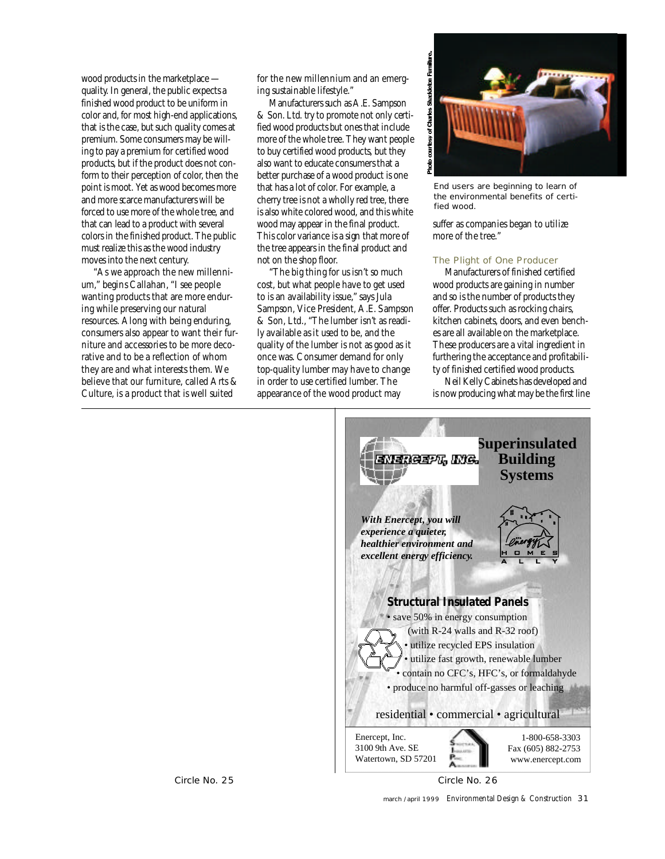wood products in the marketplace quality. In general, the public expects a finished wood product to be uniform in color and, for most high-end applications, that is the case, but such quality comes at premium. Some consumers may be willing to pay a premium for certified wood products, but if the product does not conform to their perception of color, then the point is moot. Yet as wood becomes more and more scarce manufacturers will be forced to use more of the whole tree, and that can lead to a product with several colors in the finished product. The public must realize this as the wood industry moves into the next century.

"As we approach the new millennium," begins Callahan, "I see people wanting products that are more enduring while preserving our natural resources. Along with being enduring, consumers also appear to want their furniture and accessories to be more decorative and to be a reflection of whom they are and what interests them. We believe that our furniture, called Arts & Culture, is a product that is well suited

for the new millennium and an emerging sustainable lifestyle."

Manufacturers such as A.E. Sampson & Son. Ltd. try to promote not only certified wood products but ones that include more of the whole tree. They want people to buy certified wood products, but they also want to educate consumers that a better purchase of a wood product is one that has a lot of color. For example, a cherry tree is not a wholly red tree, there is also white colored wood, and this white wood may appear in the final product. This color variance is a sign that more of the tree appears in the final product and not on the shop floor.

"The big thing for us isn't so much cost, but what people have to get used to is an availability issue," says Jula Sampson, Vice President, A.E. Sampson & Son, Ltd., "The lumber isn't as readily available as it used to be, and the quality of the lumber is not as good as it once was. Consumer demand for only top-quality lumber may have to change in order to use certified lumber. The appearance of the wood product may



End users are beginning to learn of the environmental benefits of certified wood.

suffer as companies began to utilize more of the tree."

### The Plight of One Producer

Manufacturers of finished certified wood products are gaining in number and so is the number of products they offer. Products such as rocking chairs, kitchen cabinets, doors, and even benches are all available on the marketplace. These producers are a vital ingredient in furthering the acceptance and profitability of finished certified wood products.

Neil Kelly Cabinets has developed and is now producing what may be the first line

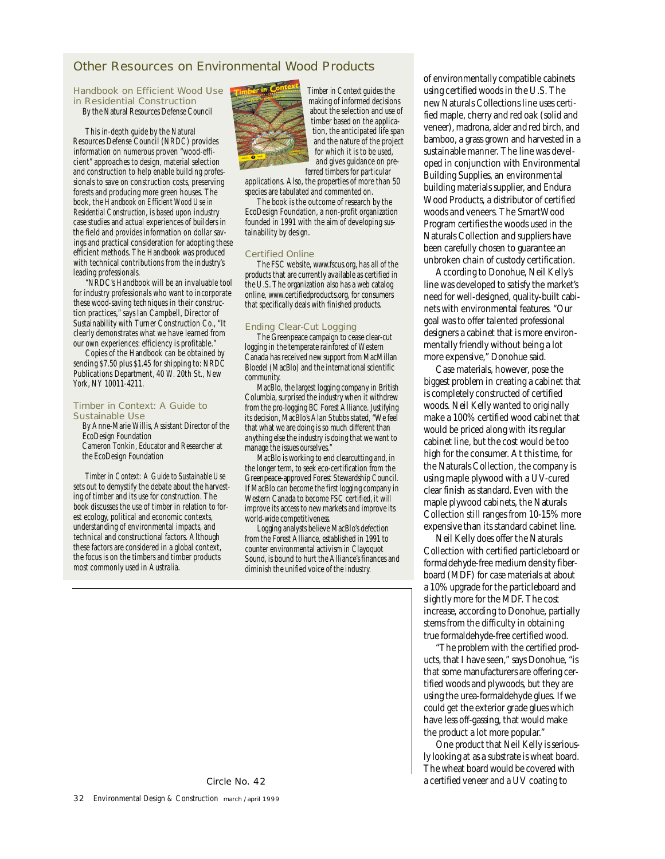# **Other Resources on Environmental Wood Products**

#### Handbook on Efficient Wood Use in Residential Construction

By the Natural Resources Defense Council

This in-depth guide by the Natural Resources Defense Council (NRDC) provides information on numerous proven "wood-efficient" approaches to design, material selection and construction to help enable building professionals to save on construction costs, preserving forests and producing more green houses. The book, the *Handbook on Efficient Wood Use in Residential Construction*, is based upon industry case studies and actual experiences of builders in the field and provides information on dollar savings and practical consideration for adopting these efficient methods. The Handbook was produced with technical contributions from the industry's leading professionals.

"NRDC's Handbook will be an invaluable tool for industry professionals who want to incorporate these wood-saving techniques in their construction practices," says Ian Campbell, Director of Sustainability with Turner Construction Co., "It clearly demonstrates what we have learned from our own experiences: efficiency is profitable.

Copies of the Handbook can be obtained by sending \$7.50 plus \$1.45 for shipping to: NRDC Publications Department, 40 W. 20th St., New York, NY 10011-4211.

### Timber in Context: A Guide to Sustainable Use

By Anne-Marie Willis, Assistant Director of the EcoDesign Foundation Cameron Tonkin, Educator and Researcher at the EcoDesign Foundation

*Timber in Context: A Guide to Sustainable Use* sets out to demystify the debate about the harvesting of timber and its use for construction. The book discusses the use of timber in relation to forest ecology, political and economic contexts, understanding of environmental impacts, and technical and constructional factors. Although these factors are considered in a global context, the focus is on the timbers and timber products most commonly used in Australia.



*Timber in Context* guides the making of informed decisions about the selection and use of timber based on the application, the anticipated life span and the nature of the project for which it is to be used, and gives guidance on preferred timbers for particular

applications. Also, the properties of more than 50 species are tabulated and commented on.

The book is the outcome of research by the EcoDesign Foundation, a non-profit organization founded in 1991 with the aim of developing sustainability by design.

### Certified Online

The FSC website, www.fscus.org, has all of the products that are currently available as certified in the U.S. The organization also has a web catalog online, www.certifiedproducts.org, for consumers that specifically deals with finished products.

### Ending Clear-Cut Logging

The Greenpeace campaign to cease clear-cut logging in the temperate rainforest of Western Canada has received new support from MacMillan Bloedel (MacBlo) and the international scientific community.

MacBlo, the largest logging company in British Columbia, surprised the industry when it withdrew from the pro-logging BC Forest Alliance. Justifying its decision, MacBlo's Alan Stubbs stated, "We feel that what we are doing is so much different than anything else the industry is doing that we want to manage the issues ourselves."

MacBlo is working to end clearcutting and, in the longer term, to seek eco-certification from the Greenpeace-approved Forest Stewardship Council. If MacBlo can become the first logging company in Western Canada to become FSC certified, it will improve its access to new markets and improve its world-wide competitiveness.

Logging analysts believe MacBlo's defection from the Forest Alliance, established in 1991 to counter environmental activism in Clayoquot Sound, is bound to hurt the Alliance's finances and diminish the unified voice of the industry.

of environmentally compatible cabinets using certified woods in the U.S. The new Naturals Collections line uses certified maple, cherry and red oak (solid and veneer), madrona, alder and red birch, and bamboo, a grass grown and harvested in a sustainable manner. The line was developed in conjunction with Environmental Building Supplies, an environmental building materials supplier, and Endura Wood Products, a distributor of certified woods and veneers. The SmartWood Program certifies the woods used in the Naturals Collection and suppliers have been carefully chosen to guarantee an unbroken chain of custody certification.

According to Donohue, Neil Kelly's line was developed to satisfy the market's need for well-designed, quality-built cabinets with environmental features. "Our goal was to offer talented professional designers a cabinet that is more environmentally friendly without being a lot more expensive," Donohue said.

Case materials, however, pose the biggest problem in creating a cabinet that is completely constructed of certified woods. Neil Kelly wanted to originally make a 100% certified wood cabinet that would be priced along with its regular cabinet line, but the cost would be too high for the consumer. At this time, for the Naturals Collection, the company is using maple plywood with a UV-cured clear finish as standard. Even with the maple plywood cabinets, the Naturals Collection still ranges from 10-15% more expensive than its standard cabinet line.

Neil Kelly does offer the Naturals Collection with certified particleboard or formaldehyde-free medium density fiberboard (MDF) for case materials at about a 10% upgrade for the particleboard and slightly more for the MDF. The cost increase, according to Donohue, partially stems from the difficulty in obtaining true formaldehyde-free certified wood.

"The problem with the certified products, that I have seen," says Donohue, "is that some manufacturers are offering certified woods and plywoods, but they are using the urea-formaldehyde glues. If we could get the exterior grade glues which have less off-gassing, that would make the product a lot more popular. "

One product that Neil Kelly is seriously looking at as a substrate is wheat board. The wheat board would be covered with Circle No. 42 **a** certified veneer and a UV coating to